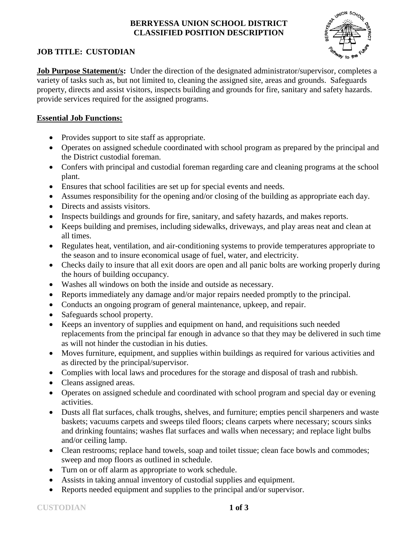## **BERRYESSA UNION SCHOOL DISTRICT CLASSIFIED POSITION DESCRIPTION**



# **JOB TITLE: CUSTODIAN**

**Job Purpose Statement/s:** Under the direction of the designated administrator/supervisor, completes a variety of tasks such as, but not limited to, cleaning the assigned site, areas and grounds. Safeguards property, directs and assist visitors, inspects building and grounds for fire, sanitary and safety hazards. provide services required for the assigned programs.

# **Essential Job Functions:**

- Provides support to site staff as appropriate.
- Operates on assigned schedule coordinated with school program as prepared by the principal and the District custodial foreman.
- Confers with principal and custodial foreman regarding care and cleaning programs at the school plant.
- Ensures that school facilities are set up for special events and needs.
- Assumes responsibility for the opening and/or closing of the building as appropriate each day.
- Directs and assists visitors.
- Inspects buildings and grounds for fire, sanitary, and safety hazards, and makes reports.
- Keeps building and premises, including sidewalks, driveways, and play areas neat and clean at all times.
- Regulates heat, ventilation, and air-conditioning systems to provide temperatures appropriate to the season and to insure economical usage of fuel, water, and electricity.
- Checks daily to insure that all exit doors are open and all panic bolts are working properly during the hours of building occupancy.
- Washes all windows on both the inside and outside as necessary.
- Reports immediately any damage and/or major repairs needed promptly to the principal.
- Conducts an ongoing program of general maintenance, upkeep, and repair.
- Safeguards school property.
- Keeps an inventory of supplies and equipment on hand, and requisitions such needed replacements from the principal far enough in advance so that they may be delivered in such time as will not hinder the custodian in his duties.
- Moves furniture, equipment, and supplies within buildings as required for various activities and as directed by the principal/supervisor.
- Complies with local laws and procedures for the storage and disposal of trash and rubbish.
- Cleans assigned areas.
- Operates on assigned schedule and coordinated with school program and special day or evening activities.
- Dusts all flat surfaces, chalk troughs, shelves, and furniture; empties pencil sharpeners and waste baskets; vacuums carpets and sweeps tiled floors; cleans carpets where necessary; scours sinks and drinking fountains; washes flat surfaces and walls when necessary; and replace light bulbs and/or ceiling lamp.
- Clean restrooms; replace hand towels, soap and toilet tissue; clean face bowls and commodes; sweep and mop floors as outlined in schedule.
- Turn on or off alarm as appropriate to work schedule.
- Assists in taking annual inventory of custodial supplies and equipment.
- Reports needed equipment and supplies to the principal and/or supervisor.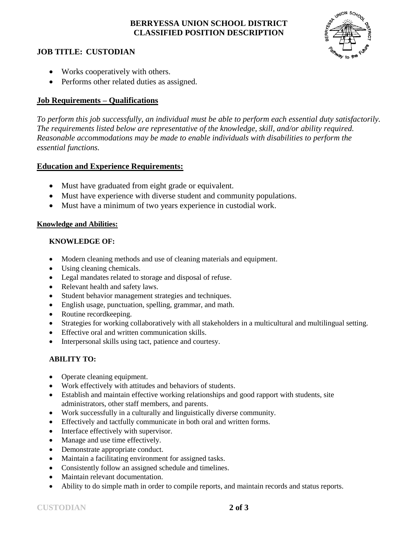# **BERRYESSA UNION SCHOOL DISTRICT CLASSIFIED POSITION DESCRIPTION**



#### **JOB TITLE: CUSTODIAN**

- Works cooperatively with others.
- Performs other related duties as assigned.

## **Job Requirements – Qualifications**

*To perform this job successfully, an individual must be able to perform each essential duty satisfactorily. The requirements listed below are representative of the knowledge, skill, and/or ability required. Reasonable accommodations may be made to enable individuals with disabilities to perform the essential functions.*

## **Education and Experience Requirements:**

- Must have graduated from eight grade or equivalent.
- Must have experience with diverse student and community populations.
- Must have a minimum of two years experience in custodial work.

## **Knowledge and Abilities:**

## **KNOWLEDGE OF:**

- Modern cleaning methods and use of cleaning materials and equipment.
- Using cleaning chemicals.
- Legal mandates related to storage and disposal of refuse.
- Relevant health and safety laws.
- Student behavior management strategies and techniques.
- English usage, punctuation, spelling, grammar, and math.
- Routine record keeping.
- Strategies for working collaboratively with all stakeholders in a multicultural and multilingual setting.
- Effective oral and written communication skills.
- Interpersonal skills using tact, patience and courtesy.

## **ABILITY TO:**

- Operate cleaning equipment.
- Work effectively with attitudes and behaviors of students.
- Establish and maintain effective working relationships and good rapport with students, site administrators, other staff members, and parents.
- Work successfully in a culturally and linguistically diverse community.
- Effectively and tactfully communicate in both oral and written forms.
- Interface effectively with supervisor.
- Manage and use time effectively.
- Demonstrate appropriate conduct.
- Maintain a facilitating environment for assigned tasks.
- Consistently follow an assigned schedule and timelines.
- Maintain relevant documentation.
- Ability to do simple math in order to compile reports, and maintain records and status reports.